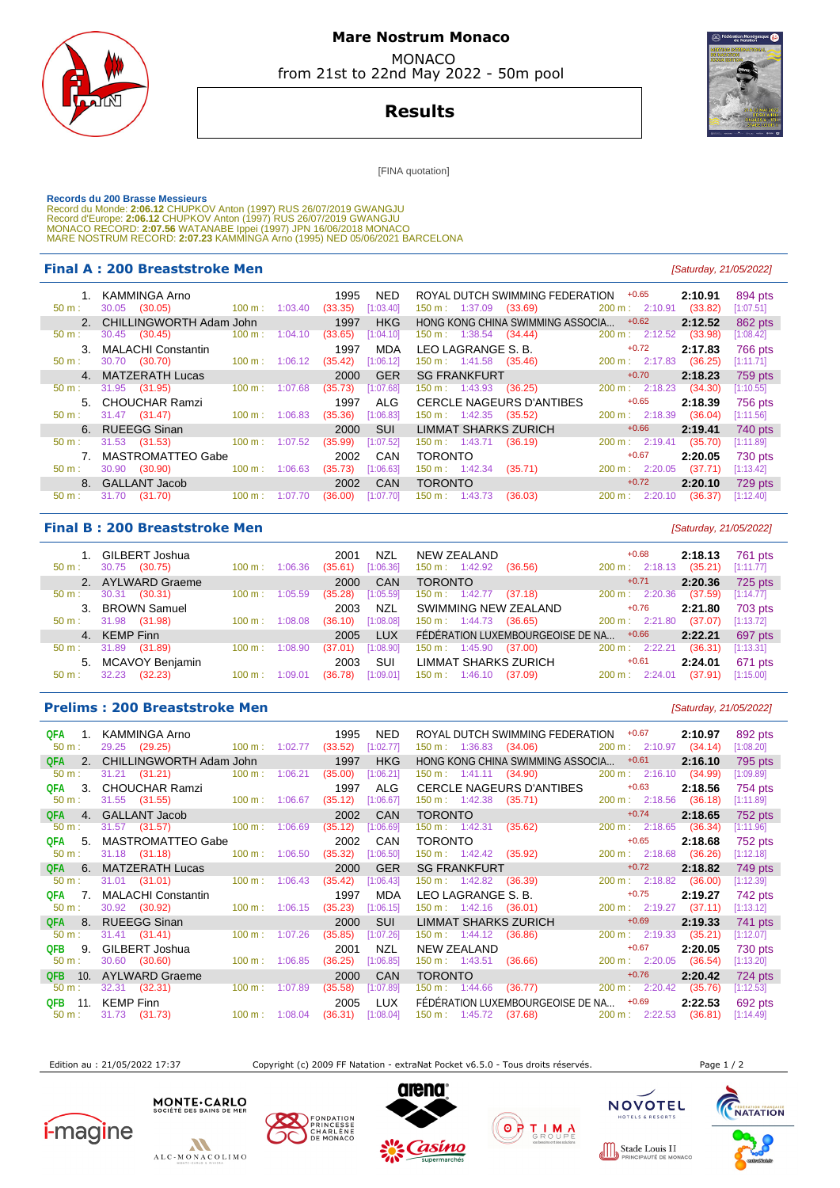

## **Mare Nostrum Monaco**  MONACO

from 21st to 22nd May 2022 - 50m pool

**Results**

[FINA quotation]

Records du 200 Brasse Messieurs<br>Record du Monde: 2:06.12 CHUPKOV Anton (1997) RUS 26/07/2019 GWANGJU<br>Record d'Europe: 2:06.12 CHUPKOV Anton (1997) RUS 26/07/2019 GWANGJU<br>MONACO RECORD: 2:07.56 WATANABE Ippei (1997) JPN 16/

### **Final A : 200 Breaststroke Men** [Saturday, 21/05/2022]

| $50 m$ :         | KAMMINGA Arno<br>30.05<br>(30.05) | $100 m$ :         | 1:03.40 | 1995<br>(33.35) | NED.<br>[1:03.40] | $150 \text{ m}: 1:37.09$        | ROYAL DUTCH SWIMMING FEDERATION<br>(33.69) | $+0.65$<br>200 m: 2:10.91    | 2:10.91<br>(33.82) | 894 pts<br>[1:07.51] |
|------------------|-----------------------------------|-------------------|---------|-----------------|-------------------|---------------------------------|--------------------------------------------|------------------------------|--------------------|----------------------|
|                  | 2. CHILLINGWORTH Adam John        |                   |         | 1997            | <b>HKG</b>        |                                 | HONG KONG CHINA SWIMMING ASSOCIA           | $+0.62$                      | 2:12.52            | 862 pts              |
| $50 m$ :         | 30.45 (30.45)                     | 100 m:            | 1:04.10 | (33.65)         | [1:04.10]         | $150 \text{ m}: 1:38.54$        | (34.44)                                    | 200 m: 2:12.52               | (33.98)            | [1:08.42]            |
|                  | 3. MALACHI Constantin             |                   |         | 1997            | MDA               | LEO LAGRANGE S. B.              |                                            | $+0.72$                      | 2:17.83            | <b>766 pts</b>       |
| $50 m$ :         | 30.70<br>(30.70)                  | $100 \text{ m}$ : | 1:06.12 | (35.42)         | [1:06.12]         | $150 \text{ m}: 1:41.58$        | (35.46)                                    | $200 \text{ m}: 2:17.83$     | (36.25)            | [1:11.71]            |
|                  | 4. MATZERATH Lucas                |                   |         | 2000            | <b>GER</b>        | <b>SG FRANKFURT</b>             |                                            | $+0.70$                      | 2:18.23            | 759 pts              |
|                  |                                   |                   |         |                 |                   |                                 |                                            | 200 m: 2:18.23               | (34.30)            | [1:10.55]            |
| 50 m :           | 31.95 (31.95)                     | $100 \text{ m}$ : | 1:07.68 | (35.73)         | [1:07.68]         | $150 \text{ m}: 1:43.93$        | (36.25)                                    |                              |                    |                      |
|                  | 5. CHOUCHAR Ramzi                 |                   |         | 1997            | ALG               | <b>CERCLE NAGEURS D'ANTIBES</b> |                                            | $+0.65$                      | 2:18.39            | 756 pts              |
| $50 \text{ m}$ : | 31.47 (31.47)                     | $100 \text{ m}$ : | 1:06.83 | (35.36)         | [1:06.83]         | $150 \text{ m}: 1:42.35$        | (35.52)                                    | $200 \text{ m}: 2:18.39$     | (36.04)            | [1:11.56]            |
|                  | 6. RUEEGG Sinan                   |                   |         | 2000            | <b>SUI</b>        | <b>LIMMAT SHARKS ZURICH</b>     |                                            | $+0.66$                      | 2:19.41            | 740 pts              |
| $50 m$ :         | 31.53 (31.53)                     | $100 \text{ m}$ : | 1:07.52 | (35.99)         | [1:07.52]         | $150 \text{ m}: 1:43.71$        | (36.19)                                    | 200 m: 2:19.41               | (35.70)            | [1:11.89]            |
|                  | <b>MASTROMATTEO Gabe</b>          |                   |         | 2002            | CAN               | <b>TORONTO</b>                  |                                            | $+0.67$                      | 2:20.05            | 730 pts              |
| $50 m$ :         | (30.90)<br>30.90                  | $100 \text{ m}$ : | 1:06.63 | (35.73)         | [1:06.63]         | 150 m : 1:42.34                 | (35.71)                                    | $200 \text{ m}: 2:20.05$     | (37.71)            | [1:13.42]            |
|                  | 8. GALLANT Jacob                  |                   |         | 2002            | CAN               | <b>TORONTO</b>                  |                                            | $+0.72$                      | 2:20.10            | 729 pts              |
| $50 m$ :         | 31.70<br>(31.70)                  | $100 \text{ m}$ : | 1:07.70 | (36.00)         | [1:07.70]         | $150 \text{ m}: 1:43.73$        | (36.03)                                    | $200 \text{ m}$ :<br>2:20.10 | (36.37)            | [1:12.40]            |

### **Final B : 200 Breaststroke Men Example 200 Breaststroke Men Example 21/05/2022**

| 30.75<br>$50 \text{ m}$ : | 1. GILBERT Joshua<br>(30.75) | $100 \text{ m}$ : | 1:06.36 | 2001<br>(35.61) | NZL<br>[1:06.36] | NEW ZEALAND<br>$150 \text{ m}: 1:42.92$ | (36.56)                          | $+0.68$<br>200 m: 2:18.13    | 2:18.13<br>(35.21) | 761 pts<br>[1:11.77] |
|---------------------------|------------------------------|-------------------|---------|-----------------|------------------|-----------------------------------------|----------------------------------|------------------------------|--------------------|----------------------|
|                           | 2. AYLWARD Graeme            |                   |         | 2000            | CAN              | <b>TORONTO</b>                          |                                  | $+0.71$                      | 2:20.36            | 725 pts              |
| 30.31<br>$50 \text{ m}$ : | (30.31)                      | $100 \text{ m}$ : | 1:05.59 | (35.28)         | [1:05.59]        | $150 \text{ m}: 1:42.77$                | (37.18)                          | 200 m: 2:20.36               | (37.59)            | [1:14.77]            |
|                           | 3. BROWN Samuel              |                   |         | 2003            | <b>NZL</b>       | SWIMMING NEW ZEALAND                    |                                  | $+0.76$                      | 2:21.80            | 703 pts              |
| 31.98<br>$50 \text{ m}$ : | (31.98)                      | $100 \text{ m}$ : | 1:08.08 | (36.10)         | [1:08.08]        | $150 \text{ m}: 1:44.73$                | (36.65)                          | 200 m: 2:21.80               | (37.07)            | [1:13.72]            |
| 4. KEMP Finn              |                              |                   |         | 2005            | <b>LUX</b>       |                                         | FÉDÉRATION LUXEMBOURGEOISE DE NA | $+0.66$                      | 2:22.21            | 697 pts              |
| 31.89<br>$50 \text{ m}$ : | (31.89)                      | $100 \text{ m}$ : | 1:08.90 | (37.01)         | [1:08.90]        | $150 \text{ m}: 1:45.90$                | (37.00)                          | $200 \text{ m}$ : 2:22.21    | (36.31)            | [1:13.31]            |
|                           | 5. MCAVOY Benjamin           |                   |         | 2003            | SUI              | <b>LIMMAT SHARKS ZURICH</b>             |                                  | $+0.61$                      | 2:24.01            | 671 pts              |
| 32.23<br>$50 m$ :         | (32.23)                      | 100 m:            |         | (36.78)         | [1:09.01]        | $150 \text{ m}$ : 1:46.10               | (37.09)                          | 2:24.01<br>$200 \text{ m}$ : | (37.91)            | [1:15.00]            |

### **Prelims : 200 Breaststroke Men Exercía Exercípio Exercípio Exercípio Exercípio Exercípio Exercípio Exercípio Exercípio Exercípio Exercípio Exercípio Exercípio Exercípio Exercípio Exercípio Exercípio Exercípio Exercípio**

| QFA<br>$\overline{1}$ .<br>50 m: | KAMMINGA Arno<br>29.25 (29.25) | $100 \text{ m}$ : 1:02.77   |         | 1995<br>(33.52) | NED.<br>[1:02.77] |                                  | ROYAL DUTCH SWIMMING FEDERATION +0.67<br>150 m : 1:36.83 (34.06) |                     | 200 m: 2:10.97 | 2:10.97<br>(34.14) | 892 pts<br>[1:08.20] |
|----------------------------------|--------------------------------|-----------------------------|---------|-----------------|-------------------|----------------------------------|------------------------------------------------------------------|---------------------|----------------|--------------------|----------------------|
| 2.<br><b>QFA</b>                 | CHILLINGWORTH Adam John        |                             |         | 1997            | <b>HKG</b>        |                                  | HONG KONG CHINA SWIMMING ASSOCIA                                 |                     | $+0.61$        | 2:16.10            | 795 pts              |
| 50 m:                            | $31.21$ $(31.21)$              | $100 \text{ m}$ :           | 1:06.21 | (35.00)         | [1:06.21]         | $150 \text{ m}: 1:41.11 (34.90)$ |                                                                  | $200 m$ : $2:16.10$ |                | (34.99)            | [1:09.89]            |
| 3.<br>QFA                        | <b>CHOUCHAR Ramzi</b>          |                             |         | 1997            | ALG               |                                  | <b>CERCLE NAGEURS D'ANTIBES</b>                                  |                     | $+0.63$        | 2:18.56            | 754 pts              |
| 50 m:                            | 31.55 (31.55)                  | $100 m$ : 1:06.67           |         | (35.12)         | [1:06.67]         | $150 \text{ m}: 1:42.38$ (35.71) |                                                                  |                     | 200 m: 2:18.56 | (36.18)            | [1:11.89]            |
| QFA<br>4.                        | <b>GALLANT Jacob</b>           |                             |         | 2002            | <b>CAN</b>        | <b>TORONTO</b>                   |                                                                  |                     | $+0.74$        | 2:18.65            | 752 pts              |
| 50 m:                            | $31.57$ (31.57)                | $100 \text{ m}$ : 1:06.69   |         | (35.12)         | [1:06.69]         |                                  | 150 m : 1:42.31 (35.62)                                          |                     | 200 m: 2:18.65 | (36.34)            | [1:11.96]            |
| 5.<br>QFA                        | MASTROMATTEO Gabe              |                             |         | 2002            | <b>CAN</b>        | <b>TORONTO</b>                   |                                                                  |                     | $+0.65$        | 2:18.68            | 752 pts              |
| 50 m:                            | 31.18 (31.18)                  | 100 m: 1:06.50              |         | (35.32)         | [1:06.50]         | 150 m: 1:42.42 (35.92)           |                                                                  |                     | 200 m: 2:18.68 | (36.26)            | [1:12.18]            |
| 6.<br>QFA                        | <b>MATZERATH Lucas</b>         |                             |         | 2000            | <b>GER</b>        | <b>SG FRANKFURT</b>              |                                                                  |                     | $+0.72$        | 2:18.82            | 749 pts              |
| 50 m:                            | 31.01 (31.01)                  | $100 \text{ m}: 1:06.43$    |         | (35.42)         | [1:06.43]         | $150 \text{ m}: 1:42.82$         | (36.39)                                                          |                     | 200 m: 2:18.82 | (36.00)            | [1:12.39]            |
| 7.<br>QFA                        | <b>MALACHI Constantin</b>      |                             |         | 1997            | <b>MDA</b>        | LEO LAGRANGE S. B.               |                                                                  |                     | $+0.75$        | 2:19.27            | 742 pts              |
| $50 m$ :                         | 30.92 (30.92)                  | 100 m: 1:06.15              |         | (35.23)         | [1:06.15]         | $150 \text{ m}: 1:42.16$ (36.01) |                                                                  |                     | 200 m: 2:19.27 | (37.11)            | [1:13.12]            |
| QFA 8.                           | <b>RUEEGG Sinan</b>            |                             |         | 2000            | <b>SUI</b>        | <b>LIMMAT SHARKS ZURICH</b>      |                                                                  |                     | $+0.69$        | 2:19.33            | 741 pts              |
| $50 m$ :                         | 31.41 (31.41)                  | $100 m$ : 1:07.26           |         | (35.85)         | [1:07.26]         | 150 m: 1:44.12                   | (36.86)                                                          |                     | 200 m: 2:19.33 | (35.21)            | [1:12.07]            |
| 9.<br>QFB                        | GILBERT Joshua                 |                             |         | 2001            | <b>NZL</b>        | NEW ZEALAND                      |                                                                  |                     | $+0.67$        | 2:20.05            | 730 pts              |
| $50 m$ :                         | 30.60 (30.60)                  | $100 \text{ m}$ : 1:06.85   |         | (36.25)         | [1:06.85]         |                                  | 150 m : 1:43.51 (36.66)                                          |                     | 200 m: 2:20.05 | (36.54)            | [1:13.20]            |
| 10.<br><b>QFB</b>                | <b>AYLWARD Graeme</b>          |                             |         | 2000            | <b>CAN</b>        | <b>TORONTO</b>                   |                                                                  |                     | $+0.76$        | 2:20.42            | 724 pts              |
| $50 m$ :                         | $32.31$ $(32.31)$              | 100 m: 1:07.89              |         | (35.58)         | [1:07.89]         |                                  | $150 \text{ m}: 1:44.66$ (36.77)                                 | 200 m : 2:20.42     |                | (35.76)            | [1:12.53]            |
| QFB<br>11.                       | <b>KEMP Finn</b>               |                             |         | 2005            | <b>LUX</b>        |                                  | FÉDÉRATION LUXEMBOURGEOISE DE NA +0.69                           |                     |                | 2:22.53            | 692 pts              |
| $50 m$ :                         | 31.73 (31.73)                  | $100 \text{ m}$ : $1:08.04$ |         | (36.31)         | [1:08.04]         | $150 \text{ m}: 1:45.72$         | (37.68)                                                          |                     | 200 m: 2:22.53 | (36.81)            | [1:14.49]            |

Edition au : 21/05/2022 17:37 Copyright (c) 2009 FF Natation - extraNat Pocket v6.5.0 - Tous droits réservés. Page 1 / 2









 $T = 1$   $T = 1$ 

**NACC**